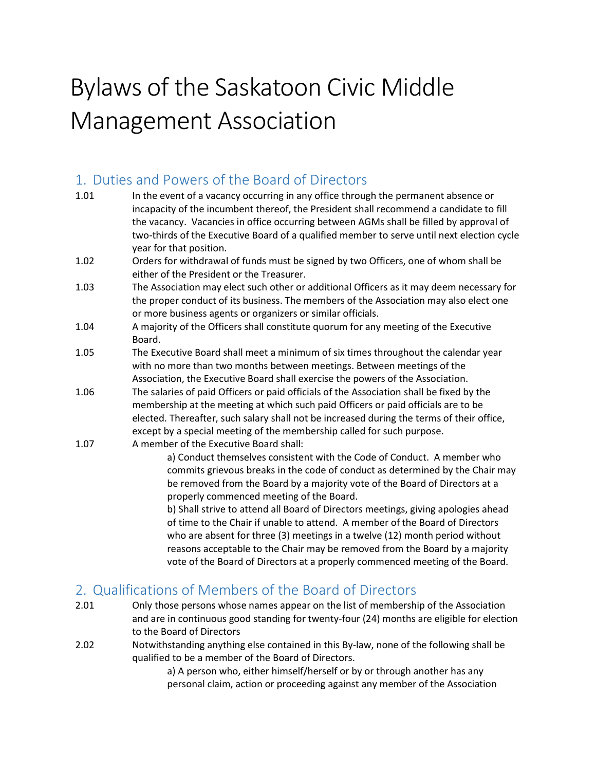# Bylaws of the Saskatoon Civic Middle Management Association

## 1. Duties and Powers of the Board of Directors

- 1.01 In the event of a vacancy occurring in any office through the permanent absence or incapacity of the incumbent thereof, the President shall recommend a candidate to fill the vacancy. Vacancies in office occurring between AGMs shall be filled by approval of two-thirds of the Executive Board of a qualified member to serve until next election cycle year for that position.
- 1.02 Orders for withdrawal of funds must be signed by two Officers, one of whom shall be either of the President or the Treasurer.
- 1.03 The Association may elect such other or additional Officers as it may deem necessary for the proper conduct of its business. The members of the Association may also elect one or more business agents or organizers or similar officials.
- 1.04 A majority of the Officers shall constitute quorum for any meeting of the Executive Board.
- 1.05 The Executive Board shall meet a minimum of six times throughout the calendar year with no more than two months between meetings. Between meetings of the Association, the Executive Board shall exercise the powers of the Association.
- 1.06 The salaries of paid Officers or paid officials of the Association shall be fixed by the membership at the meeting at which such paid Officers or paid officials are to be elected. Thereafter, such salary shall not be increased during the terms of their office, except by a special meeting of the membership called for such purpose.
- 1.07 A member of the Executive Board shall:

a) Conduct themselves consistent with the Code of Conduct. A member who commits grievous breaks in the code of conduct as determined by the Chair may be removed from the Board by a majority vote of the Board of Directors at a properly commenced meeting of the Board.

b) Shall strive to attend all Board of Directors meetings, giving apologies ahead of time to the Chair if unable to attend. A member of the Board of Directors who are absent for three (3) meetings in a twelve (12) month period without reasons acceptable to the Chair may be removed from the Board by a majority vote of the Board of Directors at a properly commenced meeting of the Board.

## 2. Qualifications of Members of the Board of Directors

- 2.01 Only those persons whose names appear on the list of membership of the Association and are in continuous good standing for twenty-four (24) months are eligible for election to the Board of Directors
- 2.02 Notwithstanding anything else contained in this By-law, none of the following shall be qualified to be a member of the Board of Directors.

a) A person who, either himself/herself or by or through another has any personal claim, action or proceeding against any member of the Association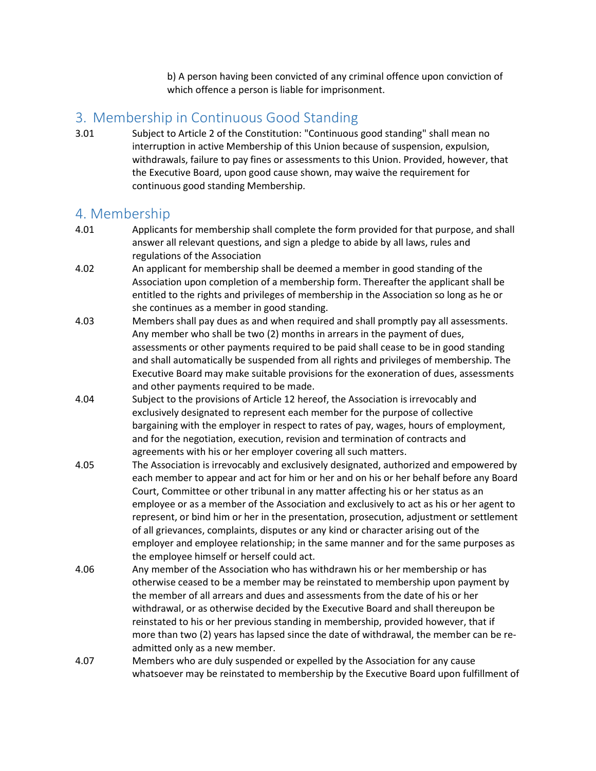b) A person having been convicted of any criminal offence upon conviction of which offence a person is liable for imprisonment.

#### 3. Membership in Continuous Good Standing

3.01 Subject to Article 2 of the Constitution: "Continuous good standing" shall mean no interruption in active Membership of this Union because of suspension, expulsion, withdrawals, failure to pay fines or assessments to this Union. Provided, however, that the Executive Board, upon good cause shown, may waive the requirement for continuous good standing Membership.

#### 4. Membership

- 4.01 Applicants for membership shall complete the form provided for that purpose, and shall answer all relevant questions, and sign a pledge to abide by all laws, rules and regulations of the Association
- 4.02 An applicant for membership shall be deemed a member in good standing of the Association upon completion of a membership form. Thereafter the applicant shall be entitled to the rights and privileges of membership in the Association so long as he or she continues as a member in good standing.
- 4.03 Members shall pay dues as and when required and shall promptly pay all assessments. Any member who shall be two (2) months in arrears in the payment of dues, assessments or other payments required to be paid shall cease to be in good standing and shall automatically be suspended from all rights and privileges of membership. The Executive Board may make suitable provisions for the exoneration of dues, assessments and other payments required to be made.
- 4.04 Subject to the provisions of Article 12 hereof, the Association is irrevocably and exclusively designated to represent each member for the purpose of collective bargaining with the employer in respect to rates of pay, wages, hours of employment, and for the negotiation, execution, revision and termination of contracts and agreements with his or her employer covering all such matters.
- 4.05 The Association is irrevocably and exclusively designated, authorized and empowered by each member to appear and act for him or her and on his or her behalf before any Board Court, Committee or other tribunal in any matter affecting his or her status as an employee or as a member of the Association and exclusively to act as his or her agent to represent, or bind him or her in the presentation, prosecution, adjustment or settlement of all grievances, complaints, disputes or any kind or character arising out of the employer and employee relationship; in the same manner and for the same purposes as the employee himself or herself could act.
- 4.06 Any member of the Association who has withdrawn his or her membership or has otherwise ceased to be a member may be reinstated to membership upon payment by the member of all arrears and dues and assessments from the date of his or her withdrawal, or as otherwise decided by the Executive Board and shall thereupon be reinstated to his or her previous standing in membership, provided however, that if more than two (2) years has lapsed since the date of withdrawal, the member can be readmitted only as a new member.
- 4.07 Members who are duly suspended or expelled by the Association for any cause whatsoever may be reinstated to membership by the Executive Board upon fulfillment of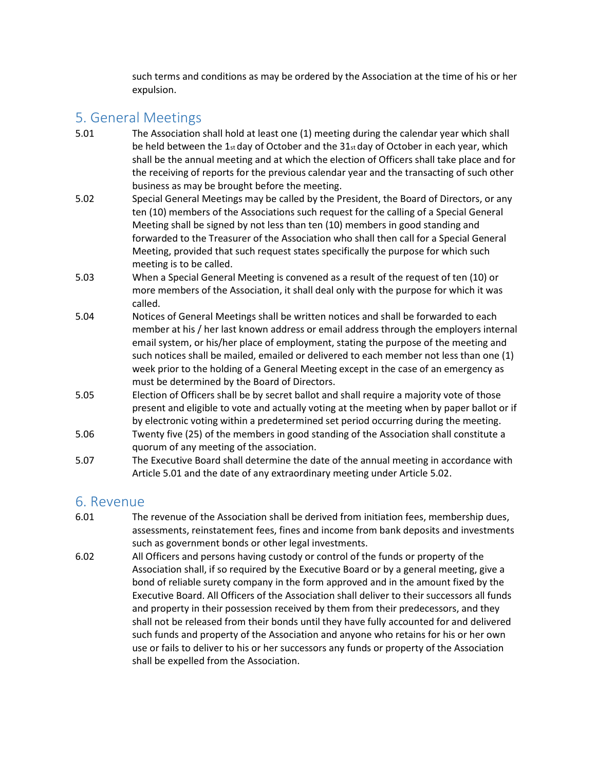such terms and conditions as may be ordered by the Association at the time of his or her expulsion.

## 5. General Meetings

- 5.01 The Association shall hold at least one (1) meeting during the calendar year which shall be held between the  $1<sub>st</sub>$  day of October and the  $31<sub>st</sub>$  day of October in each year, which shall be the annual meeting and at which the election of Officers shall take place and for the receiving of reports for the previous calendar year and the transacting of such other business as may be brought before the meeting.
- 5.02 Special General Meetings may be called by the President, the Board of Directors, or any ten (10) members of the Associations such request for the calling of a Special General Meeting shall be signed by not less than ten (10) members in good standing and forwarded to the Treasurer of the Association who shall then call for a Special General Meeting, provided that such request states specifically the purpose for which such meeting is to be called.
- 5.03 When a Special General Meeting is convened as a result of the request of ten (10) or more members of the Association, it shall deal only with the purpose for which it was called.
- 5.04 Notices of General Meetings shall be written notices and shall be forwarded to each member at his / her last known address or email address through the employers internal email system, or his/her place of employment, stating the purpose of the meeting and such notices shall be mailed, emailed or delivered to each member not less than one (1) week prior to the holding of a General Meeting except in the case of an emergency as must be determined by the Board of Directors.
- 5.05 Election of Officers shall be by secret ballot and shall require a majority vote of those present and eligible to vote and actually voting at the meeting when by paper ballot or if by electronic voting within a predetermined set period occurring during the meeting.
- 5.06 Twenty five (25) of the members in good standing of the Association shall constitute a quorum of any meeting of the association.
- 5.07 The Executive Board shall determine the date of the annual meeting in accordance with Article 5.01 and the date of any extraordinary meeting under Article 5.02.

#### 6. Revenue

- 6.01 The revenue of the Association shall be derived from initiation fees, membership dues, assessments, reinstatement fees, fines and income from bank deposits and investments such as government bonds or other legal investments.
- 6.02 All Officers and persons having custody or control of the funds or property of the Association shall, if so required by the Executive Board or by a general meeting, give a bond of reliable surety company in the form approved and in the amount fixed by the Executive Board. All Officers of the Association shall deliver to their successors all funds and property in their possession received by them from their predecessors, and they shall not be released from their bonds until they have fully accounted for and delivered such funds and property of the Association and anyone who retains for his or her own use or fails to deliver to his or her successors any funds or property of the Association shall be expelled from the Association.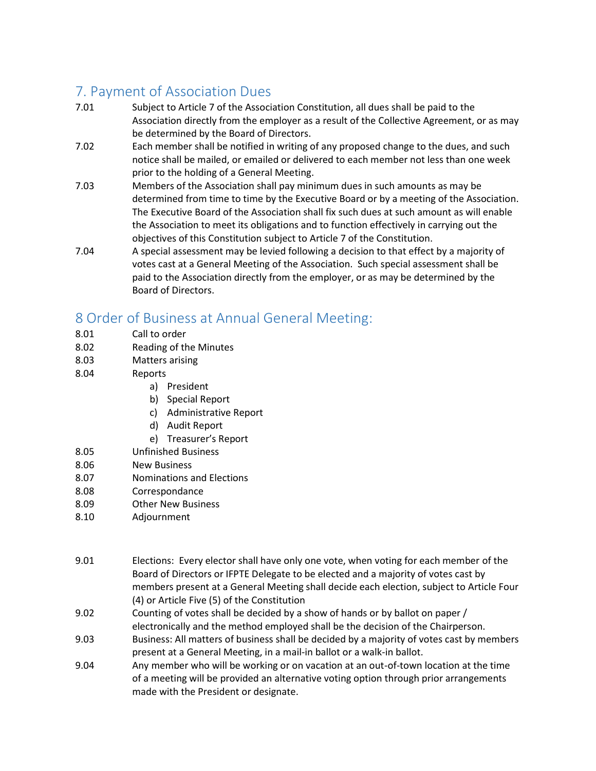## 7. Payment of Association Dues

- 7.01 Subject to Article 7 of the Association Constitution, all dues shall be paid to the Association directly from the employer as a result of the Collective Agreement, or as may be determined by the Board of Directors.
- 7.02 Each member shall be notified in writing of any proposed change to the dues, and such notice shall be mailed, or emailed or delivered to each member not less than one week prior to the holding of a General Meeting.
- 7.03 Members of the Association shall pay minimum dues in such amounts as may be determined from time to time by the Executive Board or by a meeting of the Association. The Executive Board of the Association shall fix such dues at such amount as will enable the Association to meet its obligations and to function effectively in carrying out the objectives of this Constitution subject to Article 7 of the Constitution.
- 7.04 A special assessment may be levied following a decision to that effect by a majority of votes cast at a General Meeting of the Association. Such special assessment shall be paid to the Association directly from the employer, or as may be determined by the Board of Directors.

## 8 Order of Business at Annual General Meeting:

- 8.01 Call to order
- 8.02 Reading of the Minutes
- 8.03 Matters arising
- 8.04 Reports
	- a) President
	- b) Special Report
	- c) Administrative Report
	- d) Audit Report
	- e) Treasurer's Report
- 8.05 Unfinished Business
- 8.06 New Business
- 8.07 Nominations and Elections
- 8.08 Correspondance
- 8.09 Other New Business
- 8.10 Adjournment
- 9.01 Elections: Every elector shall have only one vote, when voting for each member of the Board of Directors or IFPTE Delegate to be elected and a majority of votes cast by members present at a General Meeting shall decide each election, subject to Article Four (4) or Article Five (5) of the Constitution
- 9.02 Counting of votes shall be decided by a show of hands or by ballot on paper / electronically and the method employed shall be the decision of the Chairperson.
- 9.03 Business: All matters of business shall be decided by a majority of votes cast by members present at a General Meeting, in a mail-in ballot or a walk-in ballot.
- 9.04 Any member who will be working or on vacation at an out-of-town location at the time of a meeting will be provided an alternative voting option through prior arrangements made with the President or designate.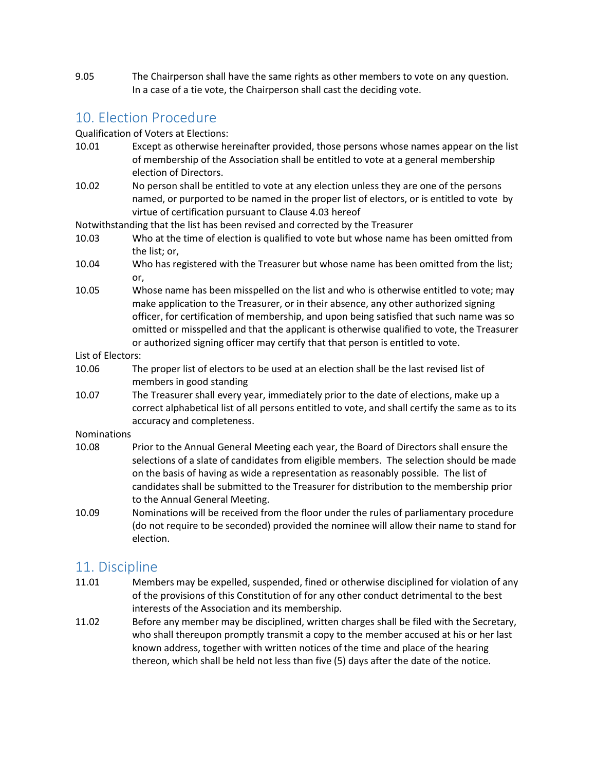9.05 The Chairperson shall have the same rights as other members to vote on any question. In a case of a tie vote, the Chairperson shall cast the deciding vote.

#### 10. Election Procedure

Qualification of Voters at Elections:

- 10.01 Except as otherwise hereinafter provided, those persons whose names appear on the list of membership of the Association shall be entitled to vote at a general membership election of Directors.
- 10.02 No person shall be entitled to vote at any election unless they are one of the persons named, or purported to be named in the proper list of electors, or is entitled to vote by virtue of certification pursuant to Clause 4.03 hereof

Notwithstanding that the list has been revised and corrected by the Treasurer

- 10.03 Who at the time of election is qualified to vote but whose name has been omitted from the list; or,
- 10.04 Who has registered with the Treasurer but whose name has been omitted from the list; or,
- 10.05 Whose name has been misspelled on the list and who is otherwise entitled to vote; may make application to the Treasurer, or in their absence, any other authorized signing officer, for certification of membership, and upon being satisfied that such name was so omitted or misspelled and that the applicant is otherwise qualified to vote, the Treasurer or authorized signing officer may certify that that person is entitled to vote.

List of Electors:

- 10.06 The proper list of electors to be used at an election shall be the last revised list of members in good standing
- 10.07 The Treasurer shall every year, immediately prior to the date of elections, make up a correct alphabetical list of all persons entitled to vote, and shall certify the same as to its accuracy and completeness.

Nominations

- 10.08 Prior to the Annual General Meeting each year, the Board of Directors shall ensure the selections of a slate of candidates from eligible members. The selection should be made on the basis of having as wide a representation as reasonably possible. The list of candidates shall be submitted to the Treasurer for distribution to the membership prior to the Annual General Meeting.
- 10.09 Nominations will be received from the floor under the rules of parliamentary procedure (do not require to be seconded) provided the nominee will allow their name to stand for election.

#### 11. Discipline

- 11.01 Members may be expelled, suspended, fined or otherwise disciplined for violation of any of the provisions of this Constitution of for any other conduct detrimental to the best interests of the Association and its membership.
- 11.02 Before any member may be disciplined, written charges shall be filed with the Secretary, who shall thereupon promptly transmit a copy to the member accused at his or her last known address, together with written notices of the time and place of the hearing thereon, which shall be held not less than five (5) days after the date of the notice.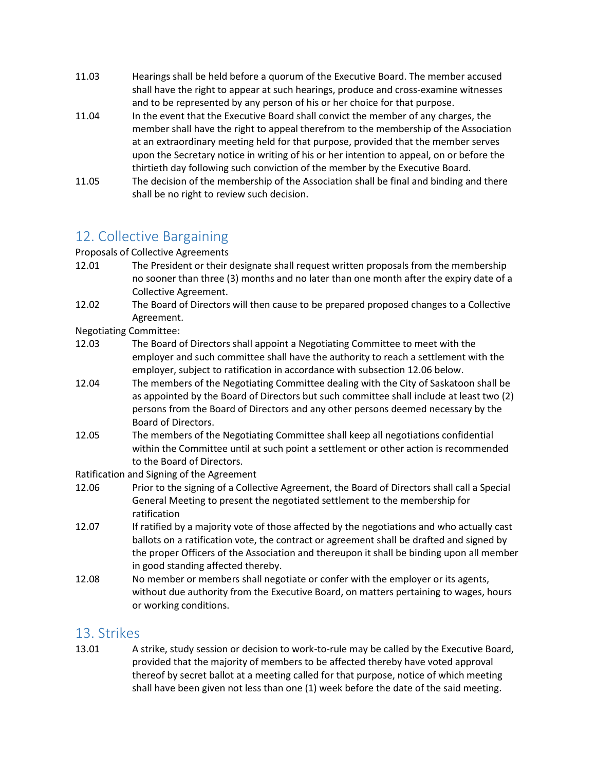- 11.03 Hearings shall be held before a quorum of the Executive Board. The member accused shall have the right to appear at such hearings, produce and cross-examine witnesses and to be represented by any person of his or her choice for that purpose.
- 11.04 In the event that the Executive Board shall convict the member of any charges, the member shall have the right to appeal therefrom to the membership of the Association at an extraordinary meeting held for that purpose, provided that the member serves upon the Secretary notice in writing of his or her intention to appeal, on or before the thirtieth day following such conviction of the member by the Executive Board.
- 11.05 The decision of the membership of the Association shall be final and binding and there shall be no right to review such decision.

## 12. Collective Bargaining

Proposals of Collective Agreements

- 12.01 The President or their designate shall request written proposals from the membership no sooner than three (3) months and no later than one month after the expiry date of a Collective Agreement.
- 12.02 The Board of Directors will then cause to be prepared proposed changes to a Collective Agreement.

Negotiating Committee:

- 12.03 The Board of Directors shall appoint a Negotiating Committee to meet with the employer and such committee shall have the authority to reach a settlement with the employer, subject to ratification in accordance with subsection 12.06 below.
- 12.04 The members of the Negotiating Committee dealing with the City of Saskatoon shall be as appointed by the Board of Directors but such committee shall include at least two (2) persons from the Board of Directors and any other persons deemed necessary by the Board of Directors.
- 12.05 The members of the Negotiating Committee shall keep all negotiations confidential within the Committee until at such point a settlement or other action is recommended to the Board of Directors.

Ratification and Signing of the Agreement

- 12.06 Prior to the signing of a Collective Agreement, the Board of Directors shall call a Special General Meeting to present the negotiated settlement to the membership for ratification
- 12.07 If ratified by a majority vote of those affected by the negotiations and who actually cast ballots on a ratification vote, the contract or agreement shall be drafted and signed by the proper Officers of the Association and thereupon it shall be binding upon all member in good standing affected thereby.
- 12.08 No member or members shall negotiate or confer with the employer or its agents, without due authority from the Executive Board, on matters pertaining to wages, hours or working conditions.

#### 13. Strikes

13.01 A strike, study session or decision to work-to-rule may be called by the Executive Board, provided that the majority of members to be affected thereby have voted approval thereof by secret ballot at a meeting called for that purpose, notice of which meeting shall have been given not less than one (1) week before the date of the said meeting.